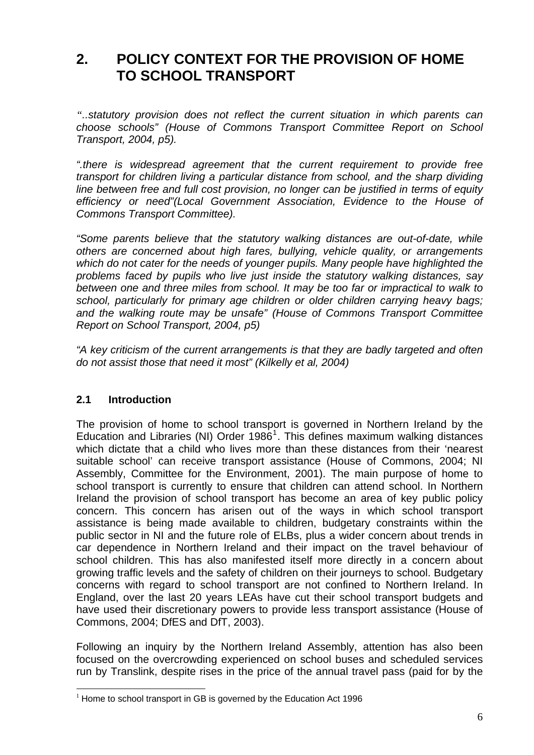# **2. POLICY CONTEXT FOR THE PROVISION OF HOME TO SCHOOL TRANSPORT**

*"..statutory provision does not reflect the current situation in which parents can choose schools" (House of Commons Transport Committee Report on School Transport, 2004, p5).* 

*".there is widespread agreement that the current requirement to provide free transport for children living a particular distance from school, and the sharp dividing line between free and full cost provision, no longer can be justified in terms of equity efficiency or need"(Local Government Association, Evidence to the House of Commons Transport Committee).*

*"Some parents believe that the statutory walking distances are out-of-date, while others are concerned about high fares, bullying, vehicle quality, or arrangements which do not cater for the needs of younger pupils. Many people have highlighted the problems faced by pupils who live just inside the statutory walking distances, say between one and three miles from school. It may be too far or impractical to walk to school, particularly for primary age children or older children carrying heavy bags; and the walking route may be unsafe" (House of Commons Transport Committee Report on School Transport, 2004, p5)*

*"A key criticism of the current arrangements is that they are badly targeted and often do not assist those that need it most" (Kilkelly et al, 2004)* 

# **2.1 Introduction**

The provision of home to school transport is governed in Northern Ireland by the Education and Libraries (NI) Order [1](#page-0-0)986<sup>1</sup>. This defines maximum walking distances which dictate that a child who lives more than these distances from their 'nearest suitable school' can receive transport assistance (House of Commons, 2004; NI Assembly, Committee for the Environment, 2001). The main purpose of home to school transport is currently to ensure that children can attend school. In Northern Ireland the provision of school transport has become an area of key public policy concern. This concern has arisen out of the ways in which school transport assistance is being made available to children, budgetary constraints within the public sector in NI and the future role of ELBs, plus a wider concern about trends in car dependence in Northern Ireland and their impact on the travel behaviour of school children. This has also manifested itself more directly in a concern about growing traffic levels and the safety of children on their journeys to school. Budgetary concerns with regard to school transport are not confined to Northern Ireland. In England, over the last 20 years LEAs have cut their school transport budgets and have used their discretionary powers to provide less transport assistance (House of Commons, 2004; DfES and DfT, 2003).

Following an inquiry by the Northern Ireland Assembly, attention has also been focused on the overcrowding experienced on school buses and scheduled services run by Translink, despite rises in the price of the annual travel pass (paid for by the

<span id="page-0-0"></span><sup>1</sup>  $1$  Home to school transport in GB is governed by the Education Act 1996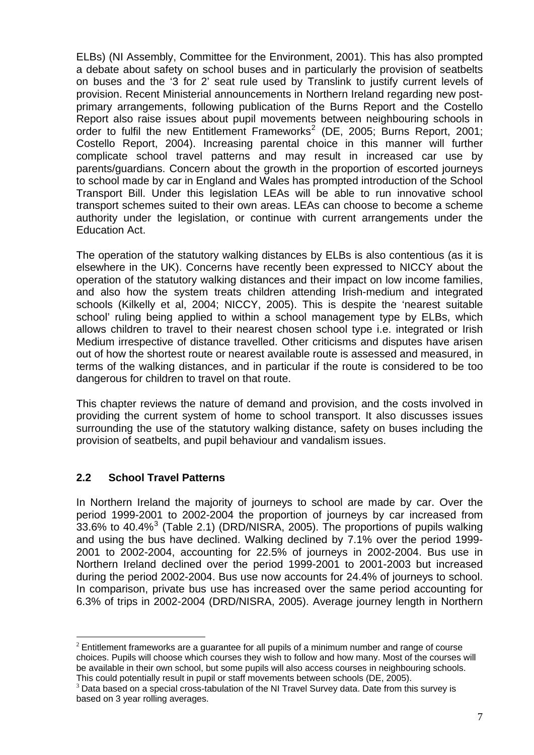ELBs) (NI Assembly, Committee for the Environment, 2001). This has also prompted a debate about safety on school buses and in particularly the provision of seatbelts on buses and the '3 for 2' seat rule used by Translink to justify current levels of provision. Recent Ministerial announcements in Northern Ireland regarding new postprimary arrangements, following publication of the Burns Report and the Costello Report also raise issues about pupil movements between neighbouring schools in order to fulfil the new Entitlement Frameworks<sup>[2](#page-1-0)</sup> (DE, 2005; Burns Report, 2001; Costello Report, 2004). Increasing parental choice in this manner will further complicate school travel patterns and may result in increased car use by parents/guardians. Concern about the growth in the proportion of escorted journeys to school made by car in England and Wales has prompted introduction of the School Transport Bill. Under this legislation LEAs will be able to run innovative school transport schemes suited to their own areas. LEAs can choose to become a scheme authority under the legislation, or continue with current arrangements under the Education Act.

The operation of the statutory walking distances by ELBs is also contentious (as it is elsewhere in the UK). Concerns have recently been expressed to NICCY about the operation of the statutory walking distances and their impact on low income families, and also how the system treats children attending Irish-medium and integrated schools (Kilkelly et al, 2004; NICCY, 2005). This is despite the 'nearest suitable school' ruling being applied to within a school management type by ELBs, which allows children to travel to their nearest chosen school type i.e. integrated or Irish Medium irrespective of distance travelled. Other criticisms and disputes have arisen out of how the shortest route or nearest available route is assessed and measured, in terms of the walking distances, and in particular if the route is considered to be too dangerous for children to travel on that route.

This chapter reviews the nature of demand and provision, and the costs involved in providing the current system of home to school transport. It also discusses issues surrounding the use of the statutory walking distance, safety on buses including the provision of seatbelts, and pupil behaviour and vandalism issues.

# **2.2 School Travel Patterns**

In Northern Ireland the majority of journeys to school are made by car. Over the period 1999-2001 to 2002-2004 the proportion of journeys by car increased from  $33.6\%$  $33.6\%$  to 40.4%<sup>3</sup> (Table 2.1) (DRD/NISRA, 2005). The proportions of pupils walking and using the bus have declined. Walking declined by 7.1% over the period 1999- 2001 to 2002-2004, accounting for 22.5% of journeys in 2002-2004. Bus use in Northern Ireland declined over the period 1999-2001 to 2001-2003 but increased during the period 2002-2004. Bus use now accounts for 24.4% of journeys to school. In comparison, private bus use has increased over the same period accounting for 6.3% of trips in 2002-2004 (DRD/NISRA, 2005). Average journey length in Northern

<sup>&</sup>lt;u>.</u>  $2$  Entitlement frameworks are a guarantee for all pupils of a minimum number and range of course choices. Pupils will choose which courses they wish to follow and how many. Most of the courses will be available in their own school, but some pupils will also access courses in neighbouring schools.

<span id="page-1-1"></span><span id="page-1-0"></span>This could potentially result in pupil or staff movements between schools (DE, 2005).<br><sup>3</sup> Data based on a special cross-tabulation of the NI Travel Survey data. Date from this survey is based on 3 year rolling averages.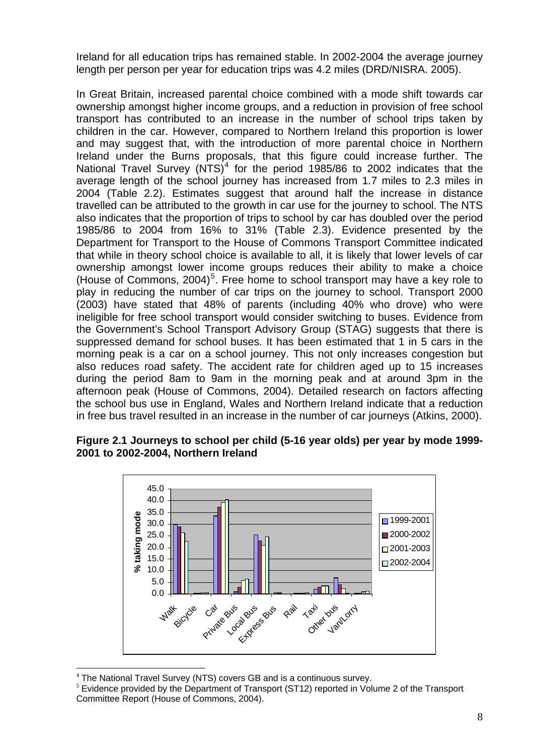Ireland for all education trips has remained stable. In 2002-2004 the average journey length per person per year for education trips was 4.2 miles (DRD/NISRA. 2005).

In Great Britain, increased parental choice combined with a mode shift towards car ownership amongst higher income groups, and a reduction in provision of free school transport has contributed to an increase in the number of school trips taken by children in the car. However, compared to Northern Ireland this proportion is lower and may suggest that, with the introduction of more parental choice in Northern Ireland under the Burns proposals, that this figure could increase further. The National Travel Survey (NTS)<sup>[4](#page-2-0)</sup> for the period 1985/86 to 2002 indicates that the average length of the school journey has increased from 1.7 miles to 2.3 miles in 2004 (Table 2.2). Estimates suggest that around half the increase in distance travelled can be attributed to the growth in car use for the journey to school. The NTS also indicates that the proportion of trips to school by car has doubled over the period 1985/86 to 2004 from 16% to 31% (Table 2.3). Evidence presented by the Department for Transport to the House of Commons Transport Committee indicated that while in theory school choice is available to all, it is likely that lower levels of car ownership amongst lower income groups reduces their ability to make a choice (House of Commons,  $2004)^5$  $2004)^5$ . Free home to school transport may have a key role to play in reducing the number of car trips on the journey to school. Transport 2000 (2003) have stated that 48% of parents (including 40% who drove) who were ineligible for free school transport would consider switching to buses. Evidence from the Government's School Transport Advisory Group (STAG) suggests that there is suppressed demand for school buses. It has been estimated that 1 in 5 cars in the morning peak is a car on a school journey. This not only increases congestion but also reduces road safety. The accident rate for children aged up to 15 increases during the period 8am to 9am in the morning peak and at around 3pm in the afternoon peak (House of Commons, 2004). Detailed research on factors affecting the school bus use in England, Wales and Northern Ireland indicate that a reduction in free bus travel resulted in an increase in the number of car journeys (Atkins, 2000).

#### **Figure 2.1 Journeys to school per child (5-16 year olds) per year by mode 1999- 2001 to 2002-2004, Northern Ireland**



<sup>&</sup>lt;u>.</u>

<span id="page-2-1"></span><span id="page-2-0"></span><sup>&</sup>lt;sup>4</sup> The National Travel Survey (NTS) covers GB and is a continuous survey.<br><sup>5</sup> Evidence provided by the Department of Transport (ST12) reported in Volume 2 of the Transport Committee Report (House of Commons, 2004).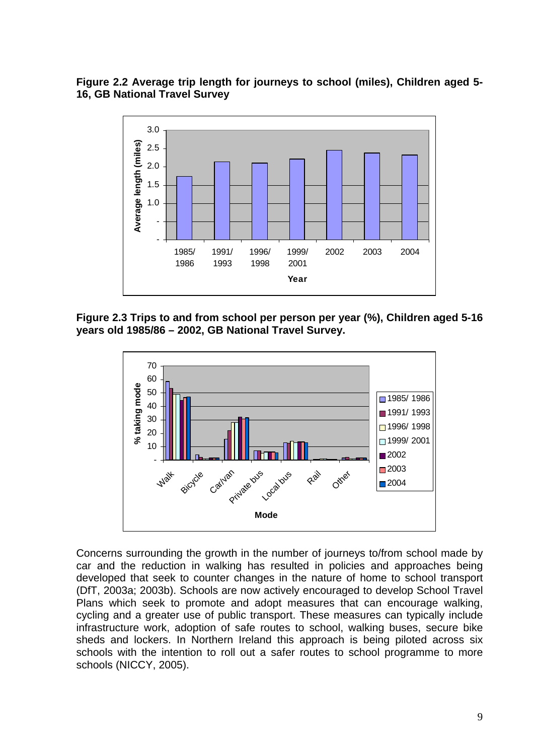**Figure 2.2 Average trip length for journeys to school (miles), Children aged 5- 16, GB National Travel Survey** 



**Figure 2.3 Trips to and from school per person per year (%), Children aged 5-16 years old 1985/86 – 2002, GB National Travel Survey.** 



Concerns surrounding the growth in the number of journeys to/from school made by car and the reduction in walking has resulted in policies and approaches being developed that seek to counter changes in the nature of home to school transport (DfT, 2003a; 2003b). Schools are now actively encouraged to develop School Travel Plans which seek to promote and adopt measures that can encourage walking, cycling and a greater use of public transport. These measures can typically include infrastructure work, adoption of safe routes to school, walking buses, secure bike sheds and lockers. In Northern Ireland this approach is being piloted across six schools with the intention to roll out a safer routes to school programme to more schools (NICCY, 2005).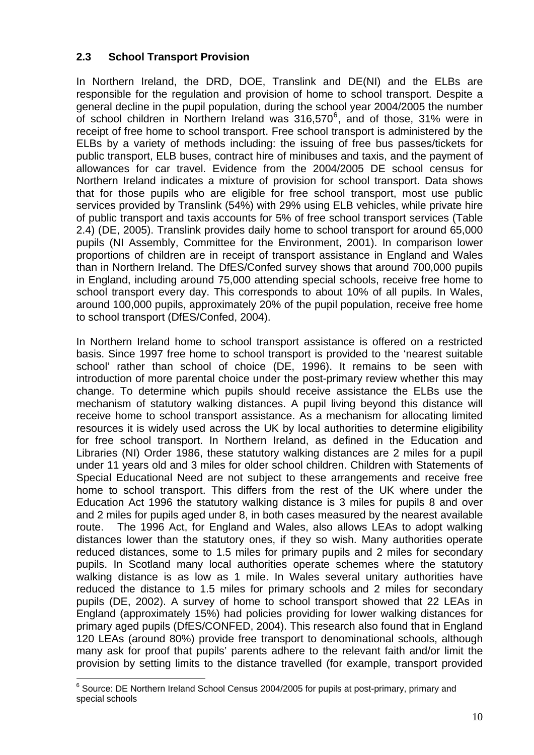# <span id="page-4-0"></span>**2.3 School Transport Provision**

In Northern Ireland, the DRD, DOE, Translink and DE(NI) and the ELBs are responsible for the regulation and provision of home to school transport. Despite a general decline in the pupil population, during the school year 2004/2005 the number of school children in Northern Ireland was  $316,570^6$  $316,570^6$  $316,570^6$ , and of those, 31% were in receipt of free home to school transport. Free school transport is administered by the ELBs by a variety of methods including: the issuing of free bus passes/tickets for public transport, ELB buses, contract hire of minibuses and taxis, and the payment of allowances for car travel. Evidence from the 2004/2005 DE school census for Northern Ireland indicates a mixture of provision for school transport. Data shows that for those pupils who are eligible for free school transport, most use public services provided by Translink (54%) with 29% using ELB vehicles, while private hire of public transport and taxis accounts for 5% of free school transport services (Table 2.4) (DE, 2005). Translink provides daily home to school transport for around 65,000 pupils (NI Assembly, Committee for the Environment, 2001). In comparison lower proportions of children are in receipt of transport assistance in England and Wales than in Northern Ireland. The DfES/Confed survey shows that around 700,000 pupils in England, including around 75,000 attending special schools, receive free home to school transport every day. This corresponds to about 10% of all pupils. In Wales, around 100,000 pupils, approximately 20% of the pupil population, receive free home to school transport (DfES/Confed, 2004).

In Northern Ireland home to school transport assistance is offered on a restricted basis. Since 1997 free home to school transport is provided to the 'nearest suitable school' rather than school of choice (DE, 1996). It remains to be seen with introduction of more parental choice under the post-primary review whether this may change. To determine which pupils should receive assistance the ELBs use the mechanism of statutory walking distances. A pupil living beyond this distance will receive home to school transport assistance. As a mechanism for allocating limited resources it is widely used across the UK by local authorities to determine eligibility for free school transport. In Northern Ireland, as defined in the Education and Libraries (NI) Order 1986, these statutory walking distances are 2 miles for a pupil under 11 years old and 3 miles for older school children. Children with Statements of Special Educational Need are not subject to these arrangements and receive free home to school transport. This differs from the rest of the UK where under the Education Act 1996 the statutory walking distance is 3 miles for pupils 8 and over and 2 miles for pupils aged under 8, in both cases measured by the nearest available route. The 1996 Act, for England and Wales, also allows LEAs to adopt walking distances lower than the statutory ones, if they so wish. Many authorities operate reduced distances, some to 1.5 miles for primary pupils and 2 miles for secondary pupils. In Scotland many local authorities operate schemes where the statutory walking distance is as low as 1 mile. In Wales several unitary authorities have reduced the distance to 1.5 miles for primary schools and 2 miles for secondary pupils (DE, 2002). A survey of home to school transport showed that 22 LEAs in England (approximately 15%) had policies providing for lower walking distances for primary aged pupils (DfES/CONFED, 2004). This research also found that in England 120 LEAs (around 80%) provide free transport to denominational schools, although many ask for proof that pupils' parents adhere to the relevant faith and/or limit the provision by setting limits to the distance travelled (for example, transport provided

 $6$  Source: DE Northern Ireland School Census 2004/2005 for pupils at post-primary, primary and special schools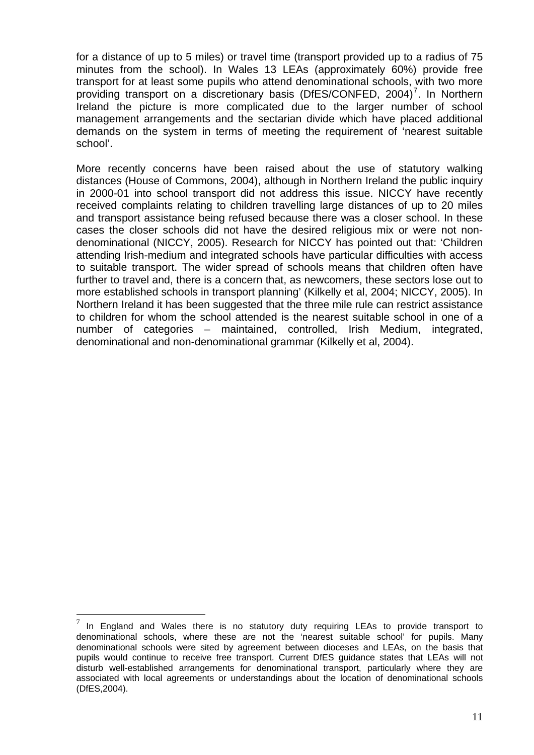<span id="page-5-0"></span>for a distance of up to 5 miles) or travel time (transport provided up to a radius of 75 minutes from the school). In Wales 13 LEAs (approximately 60%) provide free transport for at least some pupils who attend denominational schools, with two more providing transport on a discretionary basis (DfES/CONFED, 2004)<sup>[7](#page-5-0)</sup>. In Northern Ireland the picture is more complicated due to the larger number of school management arrangements and the sectarian divide which have placed additional demands on the system in terms of meeting the requirement of 'nearest suitable school'.

More recently concerns have been raised about the use of statutory walking distances (House of Commons, 2004), although in Northern Ireland the public inquiry in 2000-01 into school transport did not address this issue. NICCY have recently received complaints relating to children travelling large distances of up to 20 miles and transport assistance being refused because there was a closer school. In these cases the closer schools did not have the desired religious mix or were not nondenominational (NICCY, 2005). Research for NICCY has pointed out that: 'Children attending Irish-medium and integrated schools have particular difficulties with access to suitable transport. The wider spread of schools means that children often have further to travel and, there is a concern that, as newcomers, these sectors lose out to more established schools in transport planning' (Kilkelly et al, 2004; NICCY, 2005). In Northern Ireland it has been suggested that the three mile rule can restrict assistance to children for whom the school attended is the nearest suitable school in one of a number of categories – maintained, controlled, Irish Medium, integrated, denominational and non-denominational grammar (Kilkelly et al, 2004).

 $<sup>7</sup>$  In England and Wales there is no statutory duty requiring LEAs to provide transport to</sup> denominational schools, where these are not the 'nearest suitable school' for pupils. Many denominational schools were sited by agreement between dioceses and LEAs, on the basis that pupils would continue to receive free transport. Current DfES guidance states that LEAs will not disturb well-established arrangements for denominational transport, particularly where they are associated with local agreements or understandings about the location of denominational schools (DfES,2004).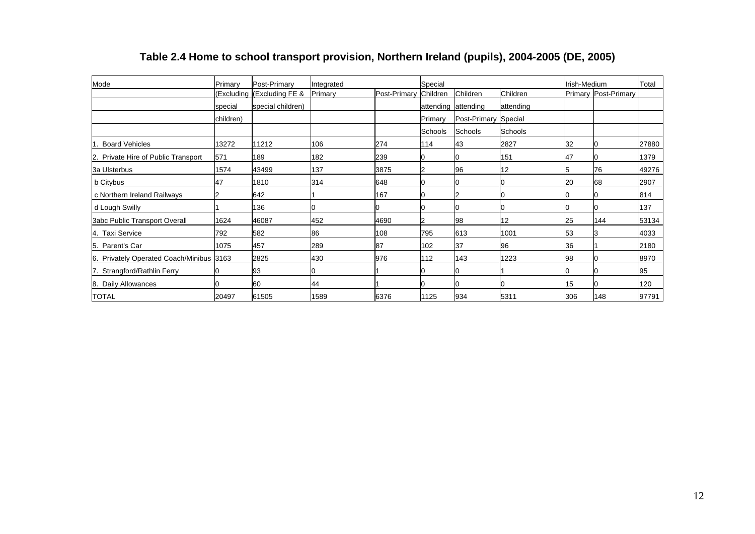| Mode                                     | Primary   | Post-Primary              | Integrated |              | Special        |                      |           | Irish-Medium |                      | Total |
|------------------------------------------|-----------|---------------------------|------------|--------------|----------------|----------------------|-----------|--------------|----------------------|-------|
|                                          |           | Excluding (Excluding FE & | Primary    | Post-Primary | Children       | Children             | Children  |              | Primary Post-Primary |       |
|                                          | special   | special children)         |            |              |                | attending attending  | attending |              |                      |       |
|                                          | children) |                           |            |              | Primary        | Post-Primary Special |           |              |                      |       |
|                                          |           |                           |            |              | Schools        | Schools              | Schools   |              |                      |       |
| <b>Board Vehicles</b>                    | 13272     | 11212                     | 106        | 274          | 114            | 43                   | 2827      | 32           |                      | 27880 |
| 2. Private Hire of Public Transport      | 571       | 189                       | 182        | 239          |                |                      | 151       | 47           |                      | 1379  |
| 3a Ulsterbus                             | 1574      | 43499                     | 137        | 3875         | $\overline{2}$ | 96                   | 12        | 5            | 76                   | 49276 |
| b Citybus                                | 47        | 1810                      | 314        | 648          | Ю              |                      |           | 20           | 68                   | 2907  |
| c Northern Ireland Railways              |           | 642                       |            | 167          |                |                      |           |              |                      | 814   |
| d Lough Swilly                           |           | 136                       |            |              |                |                      |           |              |                      | 137   |
| <b>3abc Public Transport Overall</b>     | 1624      | 46087                     | 452        | 4690         | 2              | 98                   | 12        | 25           | 144                  | 53134 |
| 4. Taxi Service                          | 792       | 582                       | 86         | 108          | 795            | 613                  | 1001      | 53           | З                    | 4033  |
| 5. Parent's Car                          | 1075      | 457                       | 289        | 87           | 102            | 37                   | 96        | 36           |                      | 2180  |
| 6. Privately Operated Coach/Minibus 3163 |           | 2825                      | 430        | 976          | 112            | 143                  | 1223      | 98           |                      | 8970  |
| Strangford/Rathlin Ferry<br>7.           |           | 93                        |            |              |                |                      |           |              |                      | 95    |
| 8. Daily Allowances                      |           | 60                        | 44         |              |                | r                    |           | 15           | n                    | 120   |
| <b>TOTAL</b>                             | 20497     | 61505                     | 1589       | 6376         | 1125           | 934                  | 5311      | 306          | 148                  | 97791 |

# **Table 2.4 Home to school transport provision, Northern Ireland (pupils), 2004-2005 (DE, 2005)**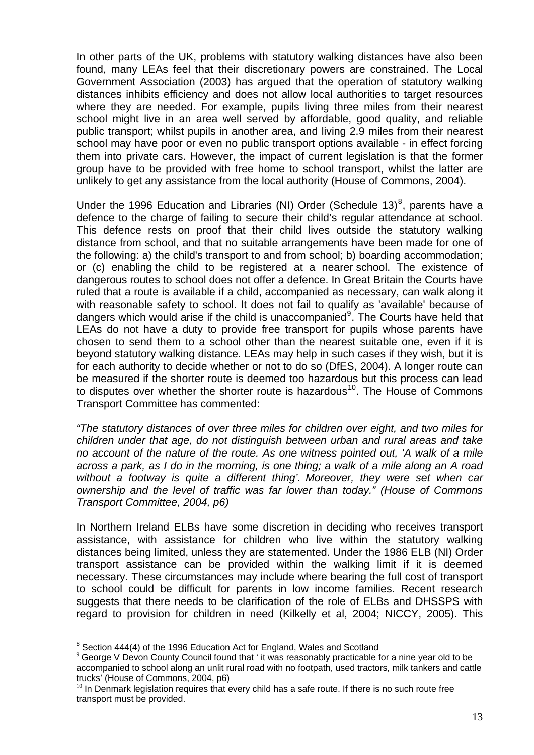<span id="page-7-0"></span>In other parts of the UK, problems with statutory walking distances have also been found, many LEAs feel that their discretionary powers are constrained. The Local Government Association (2003) has argued that the operation of statutory walking distances inhibits efficiency and does not allow local authorities to target resources where they are needed. For example, pupils living three miles from their nearest school might live in an area well served by affordable, good quality, and reliable public transport; whilst pupils in another area, and living 2.9 miles from their nearest school may have poor or even no public transport options available - in effect forcing them into private cars. However, the impact of current legislation is that the former group have to be provided with free home to school transport, whilst the latter are unlikely to get any assistance from the local authority (House of Commons, 2004).

Under the 1996 Education and Libraries (NI) Order (Schedule 13)<sup>[8](#page-7-0)</sup>, parents have a defence to the charge of failing to secure their child's regular attendance at school. This defence rests on proof that their child lives outside the statutory walking distance from school, and that no suitable arrangements have been made for one of the following: a) the child's transport to and from school; b) boarding accommodation; or (c) enabling the child to be registered at a nearer school. The existence of dangerous routes to school does not offer a defence. In Great Britain the Courts have ruled that a route is available if a child, accompanied as necessary, can walk along it with reasonable safety to school. It does not fail to qualify as 'available' because of dangers which would arise if the child is unaccompanied<sup>[9](#page-7-0)</sup>. The Courts have held that LEAs do not have a duty to provide free transport for pupils whose parents have chosen to send them to a school other than the nearest suitable one, even if it is beyond statutory walking distance. LEAs may help in such cases if they wish, but it is for each authority to decide whether or not to do so (DfES, 2004). A longer route can be measured if the shorter route is deemed too hazardous but this process can lead to disputes over whether the shorter route is hazardous<sup>[10](#page-7-0)</sup>. The House of Commons Transport Committee has commented:

*"The statutory distances of over three miles for children over eight, and two miles for children under that age, do not distinguish between urban and rural areas and take no account of the nature of the route. As one witness pointed out, 'A walk of a mile across a park, as I do in the morning, is one thing; a walk of a mile along an A road without a footway is quite a different thing'. Moreover, they were set when car ownership and the level of traffic was far lower than today." (House of Commons Transport Committee, 2004, p6)* 

In Northern Ireland ELBs have some discretion in deciding who receives transport assistance, with assistance for children who live within the statutory walking distances being limited, unless they are statemented. Under the 1986 ELB (NI) Order transport assistance can be provided within the walking limit if it is deemed necessary. These circumstances may include where bearing the full cost of transport to school could be difficult for parents in low income families. Recent research suggests that there needs to be clarification of the role of ELBs and DHSSPS with regard to provision for children in need (Kilkelly et al, 2004; NICCY, 2005). This

<u>.</u>

<sup>&</sup>lt;sup>8</sup> Section 444(4) of the 1996 Education Act for England. Wales and Scotland

 $9$  George V Devon County Council found that ' it was reasonably practicable for a nine year old to be accompanied to school along an unlit rural road with no footpath, used tractors, milk tankers and cattle trucks' (House of Commons, 2004, p6)

 $10$  In Denmark legislation requires that every child has a safe route. If there is no such route free transport must be provided.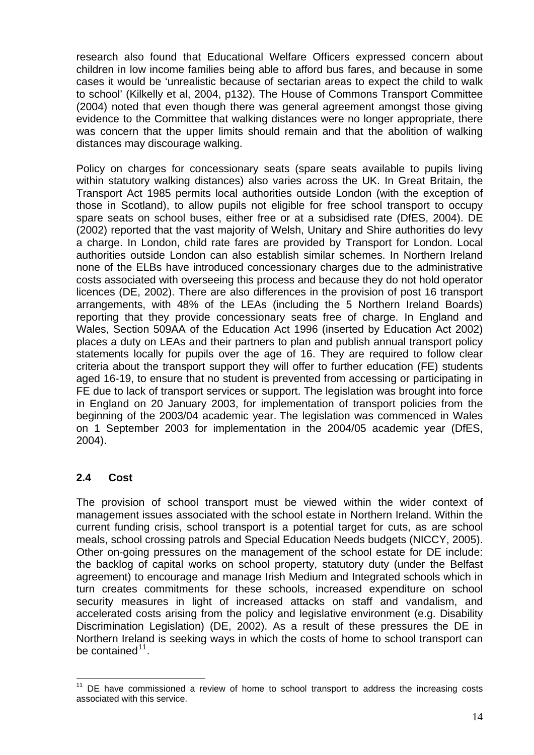<span id="page-8-0"></span>research also found that Educational Welfare Officers expressed concern about children in low income families being able to afford bus fares, and because in some cases it would be 'unrealistic because of sectarian areas to expect the child to walk to school' (Kilkelly et al, 2004, p132). The House of Commons Transport Committee (2004) noted that even though there was general agreement amongst those giving evidence to the Committee that walking distances were no longer appropriate, there was concern that the upper limits should remain and that the abolition of walking distances may discourage walking.

Policy on charges for concessionary seats (spare seats available to pupils living within statutory walking distances) also varies across the UK. In Great Britain, the Transport Act 1985 permits local authorities outside London (with the exception of those in Scotland), to allow pupils not eligible for free school transport to occupy spare seats on school buses, either free or at a subsidised rate (DfES, 2004). DE (2002) reported that the vast majority of Welsh, Unitary and Shire authorities do levy a charge. In London, child rate fares are provided by Transport for London. Local authorities outside London can also establish similar schemes. In Northern Ireland none of the ELBs have introduced concessionary charges due to the administrative costs associated with overseeing this process and because they do not hold operator licences (DE, 2002). There are also differences in the provision of post 16 transport arrangements, with 48% of the LEAs (including the 5 Northern Ireland Boards) reporting that they provide concessionary seats free of charge. In England and Wales, Section 509AA of the Education Act 1996 (inserted by Education Act 2002) places a duty on LEAs and their partners to plan and publish annual transport policy statements locally for pupils over the age of 16. They are required to follow clear criteria about the transport support they will offer to further education (FE) students aged 16-19, to ensure that no student is prevented from accessing or participating in FE due to lack of transport services or support. The legislation was brought into force in England on 20 January 2003, for implementation of transport policies from the beginning of the 2003/04 academic year. The legislation was commenced in Wales on 1 September 2003 for implementation in the 2004/05 academic year (DfES, 2004).

# **2.4 Cost**

The provision of school transport must be viewed within the wider context of management issues associated with the school estate in Northern Ireland. Within the current funding crisis, school transport is a potential target for cuts, as are school meals, school crossing patrols and Special Education Needs budgets (NICCY, 2005). Other on-going pressures on the management of the school estate for DE include: the backlog of capital works on school property, statutory duty (under the Belfast agreement) to encourage and manage Irish Medium and Integrated schools which in turn creates commitments for these schools, increased expenditure on school security measures in light of increased attacks on staff and vandalism, and accelerated costs arising from the policy and legislative environment (e.g. Disability Discrimination Legislation) (DE, 2002). As a result of these pressures the DE in Northern Ireland is seeking ways in which the costs of home to school transport can be contained $11$ .

 $11$ DE have commissioned a review of home to school transport to address the increasing costs associated with this service.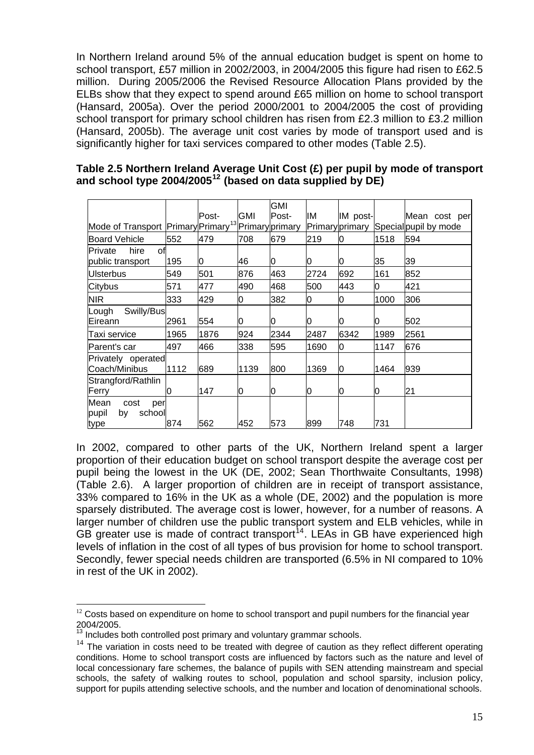<span id="page-9-0"></span>In Northern Ireland around 5% of the annual education budget is spent on home to school transport, £57 million in 2002/2003, in 2004/2005 this figure had risen to £62.5 million. During 2005/2006 the Revised Resource Allocation Plans provided by the ELBs show that they expect to spend around £65 million on home to school transport (Hansard, 2005a). Over the period 2000/2001 to 2004/2005 the cost of providing school transport for primary school children has risen from £2.3 million to £3.2 million (Hansard, 2005b). The average unit cost varies by mode of transport used and is significantly higher for taxi services compared to other modes (Table 2.5).

|                                                                 |      |       |      | <b>GMI</b> |      |          |      |                                       |
|-----------------------------------------------------------------|------|-------|------|------------|------|----------|------|---------------------------------------|
|                                                                 |      | Post- | GMI  | Post-      | IM   | IM post- |      | Mean cost per                         |
| Mode of Transport Primary Primary <sup>13</sup> Primary primary |      |       |      |            |      |          |      | Primary primary Special pupil by mode |
| <b>Board Vehicle</b>                                            | 552  | 479   | 708  | 679        | 219  | 10       | 1518 | 594                                   |
| <b>IPrivate</b><br>hire<br>of.                                  |      |       |      |            |      |          |      |                                       |
| public transport                                                | 195  | 0     | 46   | Ю          | Ю    | 0        | 35   | 39                                    |
| <b>Ulsterbus</b>                                                | 549  | 501   | 876  | 463        | 2724 | 692      | 161  | 852                                   |
| Citybus                                                         | 571  | 477   | 490  | 468        | 500  | 443      | O    | 421                                   |
| <b>NIR</b>                                                      | 333  | 429   | Ю    | 382        | 0    | 0        | 1000 | 306                                   |
| Swilly/Bus<br>Lough                                             |      |       |      |            |      |          |      |                                       |
| Eireann                                                         | 2961 | 554   | 0    | 0          | Ю    | 0        | Ю    | 502                                   |
| Taxi service                                                    | 1965 | 1876  | 924  | 2344       | 2487 | 6342     | 1989 | 2561                                  |
| Parent's car                                                    | 497  | 466   | 338  | 595        | 1690 | Ю        | 1147 | 676                                   |
| Privately operated                                              |      |       |      |            |      |          |      |                                       |
| Coach/Minibus                                                   | 1112 | 689   | 1139 | 800        | 1369 | 0        | 1464 | 939                                   |
| Strangford/Rathlin                                              |      |       |      |            |      |          |      |                                       |
| Ferry                                                           | l0   | 147   | 0    | Ю          | Ю    | 0        | 0    | 21                                    |
| Mean<br>cost<br>per                                             |      |       |      |            |      |          |      |                                       |
| school<br>pupil<br>by                                           |      |       |      |            |      |          |      |                                       |
| type                                                            | 874  | 562   | 452  | 573        | 899  | 748      | 731  |                                       |

#### **Table 2.5 Northern Ireland Average Unit Cost (£) per pupil by mode of transport and school type 2004/2005[12](#page-9-0) (based on data supplied by DE)**

In 2002, compared to other parts of the UK, Northern Ireland spent a larger proportion of their education budget on school transport despite the average cost per pupil being the lowest in the UK (DE, 2002; Sean Thorthwaite Consultants, 1998) (Table 2.6). A larger proportion of children are in receipt of transport assistance, 33% compared to 16% in the UK as a whole (DE, 2002) and the population is more sparsely distributed. The average cost is lower, however, for a number of reasons. A larger number of children use the public transport system and ELB vehicles, while in GB greater use is made of contract transport<sup>[14](#page-9-0)</sup>. LEAs in GB have experienced high levels of inflation in the cost of all types of bus provision for home to school transport. Secondly, fewer special needs children are transported (6.5% in NI compared to 10% in rest of the UK in 2002).

<sup>&</sup>lt;u>.</u>  $12$  Costs based on expenditure on home to school transport and pupil numbers for the financial year 2004/2005.

 $13$  Includes both controlled post primary and voluntary grammar schools.

 $14$  The variation in costs need to be treated with degree of caution as they reflect different operating conditions. Home to school transport costs are influenced by factors such as the nature and level of local concessionary fare schemes, the balance of pupils with SEN attending mainstream and special schools, the safety of walking routes to school, population and school sparsity, inclusion policy, support for pupils attending selective schools, and the number and location of denominational schools.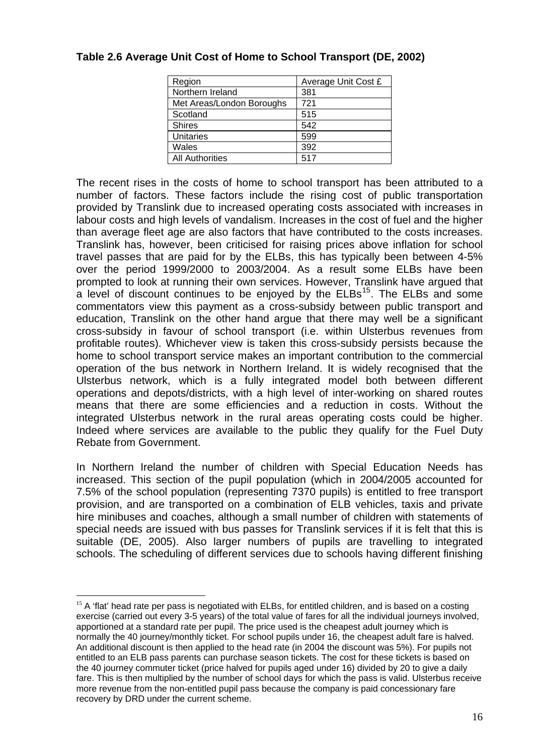| Region                    | Average Unit Cost £ |
|---------------------------|---------------------|
| Northern Ireland          | 381                 |
| Met Areas/London Boroughs | 721                 |
| Scotland                  | 515                 |
| <b>Shires</b>             | 542                 |
| <b>Unitaries</b>          | 599                 |
| Wales                     | 392                 |
| <b>All Authorities</b>    | 517                 |

#### <span id="page-10-0"></span>**Table 2.6 Average Unit Cost of Home to School Transport (DE, 2002)**

The recent rises in the costs of home to school transport has been attributed to a number of factors. These factors include the rising cost of public transportation provided by Translink due to increased operating costs associated with increases in labour costs and high levels of vandalism. Increases in the cost of fuel and the higher than average fleet age are also factors that have contributed to the costs increases. Translink has, however, been criticised for raising prices above inflation for school travel passes that are paid for by the ELBs, this has typically been between 4-5% over the period 1999/2000 to 2003/2004. As a result some ELBs have been prompted to look at running their own services. However, Translink have argued that a level of discount continues to be enjoyed by the  $ELBs<sup>15</sup>$  $ELBs<sup>15</sup>$  $ELBs<sup>15</sup>$ . The ELBs and some commentators view this payment as a cross-subsidy between public transport and education, Translink on the other hand argue that there may well be a significant cross-subsidy in favour of school transport (i.e. within Ulsterbus revenues from profitable routes). Whichever view is taken this cross-subsidy persists because the home to school transport service makes an important contribution to the commercial operation of the bus network in Northern Ireland. It is widely recognised that the Ulsterbus network, which is a fully integrated model both between different operations and depots/districts, with a high level of inter-working on shared routes means that there are some efficiencies and a reduction in costs. Without the integrated Ulsterbus network in the rural areas operating costs could be higher. Indeed where services are available to the public they qualify for the Fuel Duty Rebate from Government.

In Northern Ireland the number of children with Special Education Needs has increased. This section of the pupil population (which in 2004/2005 accounted for 7.5% of the school population (representing 7370 pupils) is entitled to free transport provision, and are transported on a combination of ELB vehicles, taxis and private hire minibuses and coaches, although a small number of children with statements of special needs are issued with bus passes for Translink services if it is felt that this is suitable (DE, 2005). Also larger numbers of pupils are travelling to integrated schools. The scheduling of different services due to schools having different finishing

<sup>1</sup>  $15$  A 'flat' head rate per pass is negotiated with ELBs, for entitled children, and is based on a costing exercise (carried out every 3-5 years) of the total value of fares for all the individual journeys involved, apportioned at a standard rate per pupil. The price used is the cheapest adult journey which is normally the 40 journey/monthly ticket. For school pupils under 16, the cheapest adult fare is halved. An additional discount is then applied to the head rate (in 2004 the discount was 5%). For pupils not entitled to an ELB pass parents can purchase season tickets. The cost for these tickets is based on the 40 journey commuter ticket (price halved for pupils aged under 16) divided by 20 to give a daily fare. This is then multiplied by the number of school days for which the pass is valid. Ulsterbus receive more revenue from the non-entitled pupil pass because the company is paid concessionary fare recovery by DRD under the current scheme.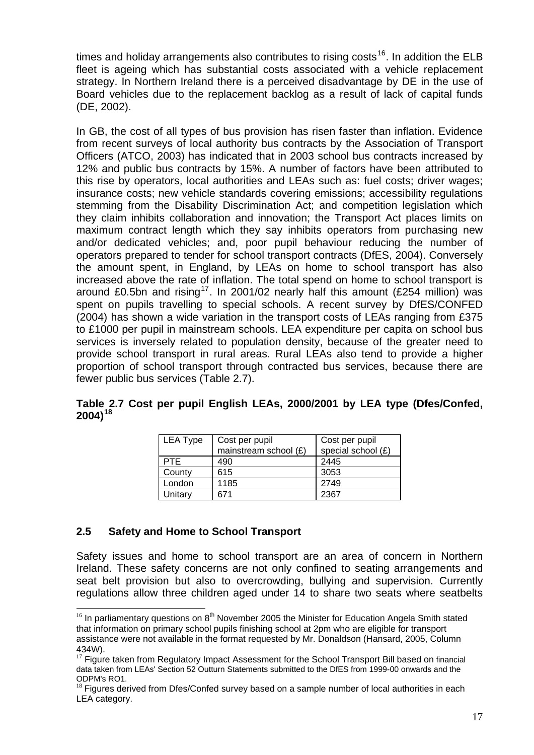<span id="page-11-0"></span>times and holiday arrangements also contributes to rising costs<sup>[16](#page-11-0)</sup>. In addition the ELB fleet is ageing which has substantial costs associated with a vehicle replacement strategy. In Northern Ireland there is a perceived disadvantage by DE in the use of Board vehicles due to the replacement backlog as a result of lack of capital funds (DE, 2002).

In GB, the cost of all types of bus provision has risen faster than inflation. Evidence from recent surveys of local authority bus contracts by the Association of Transport Officers (ATCO, 2003) has indicated that in 2003 school bus contracts increased by 12% and public bus contracts by 15%. A number of factors have been attributed to this rise by operators, local authorities and LEAs such as: fuel costs; driver wages; insurance costs; new vehicle standards covering emissions; accessibility regulations stemming from the Disability Discrimination Act; and competition legislation which they claim inhibits collaboration and innovation; the Transport Act places limits on maximum contract length which they say inhibits operators from purchasing new and/or dedicated vehicles; and, poor pupil behaviour reducing the number of operators prepared to tender for school transport contracts (DfES, 2004). Conversely the amount spent, in England, by LEAs on home to school transport has also increased above the rate of inflation. The total spend on home to school transport is around £0.5bn and rising<sup>[17](#page-11-0)</sup>. In 2001/02 nearly half this amount (£254 million) was spent on pupils travelling to special schools. A recent survey by DfES/CONFED (2004) has shown a wide variation in the transport costs of LEAs ranging from £375 to £1000 per pupil in mainstream schools. LEA expenditure per capita on school bus services is inversely related to population density, because of the greater need to provide school transport in rural areas. Rural LEAs also tend to provide a higher proportion of school transport through contracted bus services, because there are fewer public bus services (Table 2.7).

| <b>LEA Type</b> | Cost per pupil<br>mainstream school (£) | Cost per pupil<br>special school (£) |
|-----------------|-----------------------------------------|--------------------------------------|
| PTE.            | 490                                     | 2445                                 |
| County          | 615                                     | 3053                                 |
| London          | 1185                                    | 2749                                 |
| Unitary         | 671                                     | 2367                                 |

**Table 2.7 Cost per pupil English LEAs, 2000/2001 by LEA type (Dfes/Confed, 2004)[18](#page-11-0)**

# **2.5 Safety and Home to School Transport**

Safety issues and home to school transport are an area of concern in Northern Ireland. These safety concerns are not only confined to seating arrangements and seat belt provision but also to overcrowding, bullying and supervision. Currently regulations allow three children aged under 14 to share two seats where seatbelts

<sup>&</sup>lt;u>.</u>  $16$  In parliamentary questions on  $8<sup>th</sup>$  November 2005 the Minister for Education Angela Smith stated that information on primary school pupils finishing school at 2pm who are eligible for transport assistance were not available in the format requested by Mr. Donaldson (Hansard, 2005, Column 434W).

 $17$  Figure taken from Regulatory Impact Assessment for the School Transport Bill based on financial data taken from LEAs' Section 52 Outturn Statements submitted to the DfES from 1999-00 onwards and the ODPM's RO1.

 $18$  Figures derived from Dfes/Confed survey based on a sample number of local authorities in each LEA category.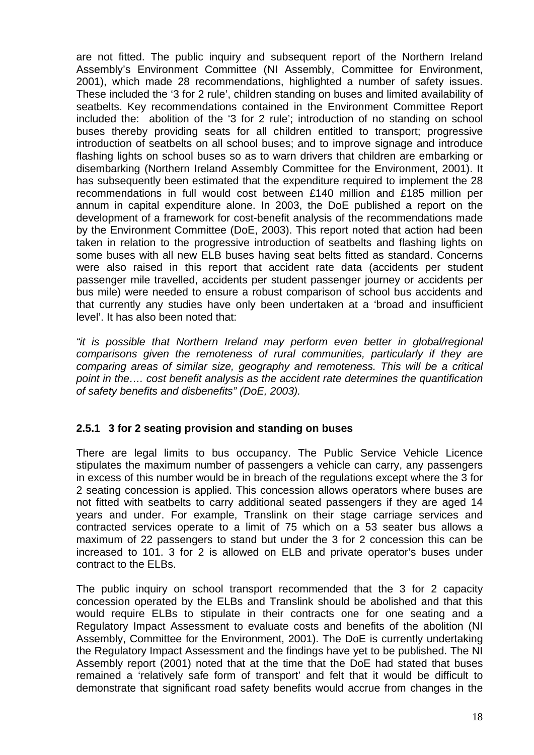are not fitted. The public inquiry and subsequent report of the Northern Ireland Assembly's Environment Committee (NI Assembly, Committee for Environment, 2001), which made 28 recommendations, highlighted a number of safety issues. These included the '3 for 2 rule', children standing on buses and limited availability of seatbelts. Key recommendations contained in the Environment Committee Report included the: abolition of the '3 for 2 rule'; introduction of no standing on school buses thereby providing seats for all children entitled to transport; progressive introduction of seatbelts on all school buses; and to improve signage and introduce flashing lights on school buses so as to warn drivers that children are embarking or disembarking (Northern Ireland Assembly Committee for the Environment, 2001). It has subsequently been estimated that the expenditure required to implement the 28 recommendations in full would cost between £140 million and £185 million per annum in capital expenditure alone. In 2003, the DoE published a report on the development of a framework for cost-benefit analysis of the recommendations made by the Environment Committee (DoE, 2003). This report noted that action had been taken in relation to the progressive introduction of seatbelts and flashing lights on some buses with all new ELB buses having seat belts fitted as standard. Concerns were also raised in this report that accident rate data (accidents per student passenger mile travelled, accidents per student passenger journey or accidents per bus mile) were needed to ensure a robust comparison of school bus accidents and that currently any studies have only been undertaken at a 'broad and insufficient level'. It has also been noted that:

*"it is possible that Northern Ireland may perform even better in global/regional comparisons given the remoteness of rural communities, particularly if they are comparing areas of similar size, geography and remoteness. This will be a critical point in the…. cost benefit analysis as the accident rate determines the quantification of safety benefits and disbenefits" (DoE, 2003).*

# **2.5.1 3 for 2 seating provision and standing on buses**

There are legal limits to bus occupancy. The Public Service Vehicle Licence stipulates the maximum number of passengers a vehicle can carry, any passengers in excess of this number would be in breach of the regulations except where the 3 for 2 seating concession is applied. This concession allows operators where buses are not fitted with seatbelts to carry additional seated passengers if they are aged 14 years and under. For example, Translink on their stage carriage services and contracted services operate to a limit of 75 which on a 53 seater bus allows a maximum of 22 passengers to stand but under the 3 for 2 concession this can be increased to 101. 3 for 2 is allowed on ELB and private operator's buses under contract to the ELBs.

The public inquiry on school transport recommended that the 3 for 2 capacity concession operated by the ELBs and Translink should be abolished and that this would require ELBs to stipulate in their contracts one for one seating and a Regulatory Impact Assessment to evaluate costs and benefits of the abolition (NI Assembly, Committee for the Environment, 2001). The DoE is currently undertaking the Regulatory Impact Assessment and the findings have yet to be published. The NI Assembly report (2001) noted that at the time that the DoE had stated that buses remained a 'relatively safe form of transport' and felt that it would be difficult to demonstrate that significant road safety benefits would accrue from changes in the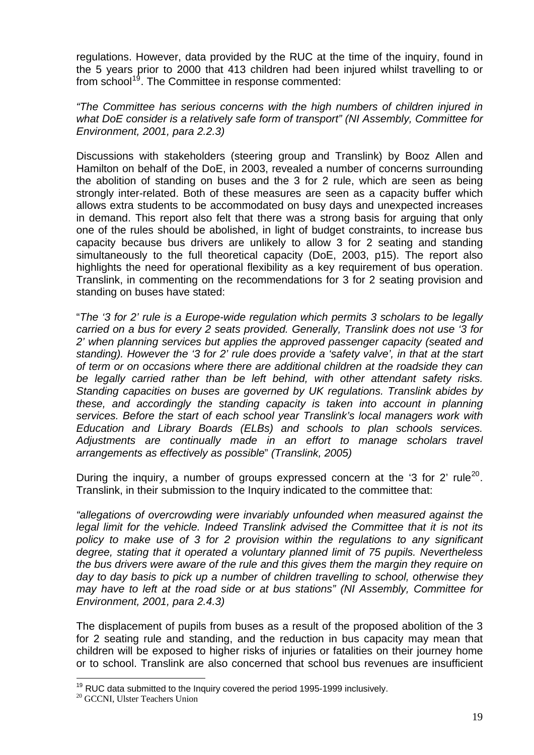<span id="page-13-0"></span>regulations. However, data provided by the RUC at the time of the inquiry, found in the 5 years prior to 2000 that 413 children had been injured whilst travelling to or from school<sup>[19](#page-13-0)</sup>. The Committee in response commented:

*"The Committee has serious concerns with the high numbers of children injured in what DoE consider is a relatively safe form of transport" (NI Assembly, Committee for Environment, 2001, para 2.2.3)* 

Discussions with stakeholders (steering group and Translink) by Booz Allen and Hamilton on behalf of the DoE, in 2003, revealed a number of concerns surrounding the abolition of standing on buses and the 3 for 2 rule, which are seen as being strongly inter-related. Both of these measures are seen as a capacity buffer which allows extra students to be accommodated on busy days and unexpected increases in demand. This report also felt that there was a strong basis for arguing that only one of the rules should be abolished, in light of budget constraints, to increase bus capacity because bus drivers are unlikely to allow 3 for 2 seating and standing simultaneously to the full theoretical capacity (DoE, 2003, p15). The report also highlights the need for operational flexibility as a key requirement of bus operation. Translink, in commenting on the recommendations for 3 for 2 seating provision and standing on buses have stated:

"*The '3 for 2' rule is a Europe-wide regulation which permits 3 scholars to be legally carried on a bus for every 2 seats provided. Generally, Translink does not use '3 for 2' when planning services but applies the approved passenger capacity (seated and standing). However the '3 for 2' rule does provide a 'safety valve', in that at the start of term or on occasions where there are additional children at the roadside they can be legally carried rather than be left behind, with other attendant safety risks. Standing capacities on buses are governed by UK regulations. Translink abides by these, and accordingly the standing capacity is taken into account in planning services. Before the start of each school year Translink's local managers work with Education and Library Boards (ELBs) and schools to plan schools services. Adjustments are continually made in an effort to manage scholars travel arrangements as effectively as possible*" *(Translink, 2005)*

During the inquiry, a number of groups expressed concern at the '3 for 2' rule<sup>[20](#page-13-0)</sup>. Translink, in their submission to the Inquiry indicated to the committee that:

*"allegations of overcrowding were invariably unfounded when measured against the*  legal limit for the vehicle. Indeed Translink advised the Committee that it is not its *policy to make use of 3 for 2 provision within the regulations to any significant degree, stating that it operated a voluntary planned limit of 75 pupils. Nevertheless the bus drivers were aware of the rule and this gives them the margin they require on day to day basis to pick up a number of children travelling to school, otherwise they may have to left at the road side or at bus stations" (NI Assembly, Committee for Environment, 2001, para 2.4.3)* 

The displacement of pupils from buses as a result of the proposed abolition of the 3 for 2 seating rule and standing, and the reduction in bus capacity may mean that children will be exposed to higher risks of injuries or fatalities on their journey home or to school. Translink are also concerned that school bus revenues are insufficient

<sup>&</sup>lt;sup>19</sup> RUC data submitted to the Inquiry covered the period 1995-1999 inclusively.<br><sup>20</sup> GCCNI, Ulster Teachers Union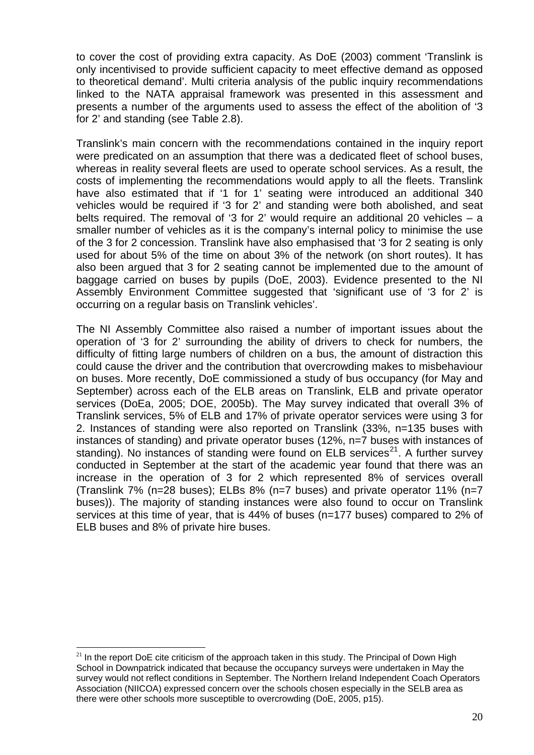<span id="page-14-0"></span>to cover the cost of providing extra capacity. As DoE (2003) comment 'Translink is only incentivised to provide sufficient capacity to meet effective demand as opposed to theoretical demand'. Multi criteria analysis of the public inquiry recommendations linked to the NATA appraisal framework was presented in this assessment and presents a number of the arguments used to assess the effect of the abolition of '3 for 2' and standing (see Table 2.8).

Translink's main concern with the recommendations contained in the inquiry report were predicated on an assumption that there was a dedicated fleet of school buses, whereas in reality several fleets are used to operate school services. As a result, the costs of implementing the recommendations would apply to all the fleets. Translink have also estimated that if '1 for 1' seating were introduced an additional 340 vehicles would be required if '3 for 2' and standing were both abolished, and seat belts required. The removal of '3 for 2' would require an additional 20 vehicles – a smaller number of vehicles as it is the company's internal policy to minimise the use of the 3 for 2 concession. Translink have also emphasised that '3 for 2 seating is only used for about 5% of the time on about 3% of the network (on short routes). It has also been argued that 3 for 2 seating cannot be implemented due to the amount of baggage carried on buses by pupils (DoE, 2003). Evidence presented to the NI Assembly Environment Committee suggested that 'significant use of '3 for 2' is occurring on a regular basis on Translink vehicles'.

The NI Assembly Committee also raised a number of important issues about the operation of '3 for 2' surrounding the ability of drivers to check for numbers, the difficulty of fitting large numbers of children on a bus, the amount of distraction this could cause the driver and the contribution that overcrowding makes to misbehaviour on buses. More recently, DoE commissioned a study of bus occupancy (for May and September) across each of the ELB areas on Translink, ELB and private operator services (DoEa, 2005; DOE, 2005b). The May survey indicated that overall 3% of Translink services, 5% of ELB and 17% of private operator services were using 3 for 2. Instances of standing were also reported on Translink (33%, n=135 buses with instances of standing) and private operator buses (12%, n=7 buses with instances of standing). No instances of standing were found on ELB services<sup>[21](#page-14-0)</sup>. A further survey conducted in September at the start of the academic year found that there was an increase in the operation of 3 for 2 which represented 8% of services overall (Translink 7% (n=28 buses); ELBs 8% (n=7 buses) and private operator 11% (n=7 buses)). The majority of standing instances were also found to occur on Translink services at this time of year, that is 44% of buses (n=177 buses) compared to 2% of ELB buses and 8% of private hire buses.

 $21$  In the report DoE cite criticism of the approach taken in this study. The Principal of Down High School in Downpatrick indicated that because the occupancy surveys were undertaken in May the survey would not reflect conditions in September. The Northern Ireland Independent Coach Operators Association (NIICOA) expressed concern over the schools chosen especially in the SELB area as there were other schools more susceptible to overcrowding (DoE, 2005, p15).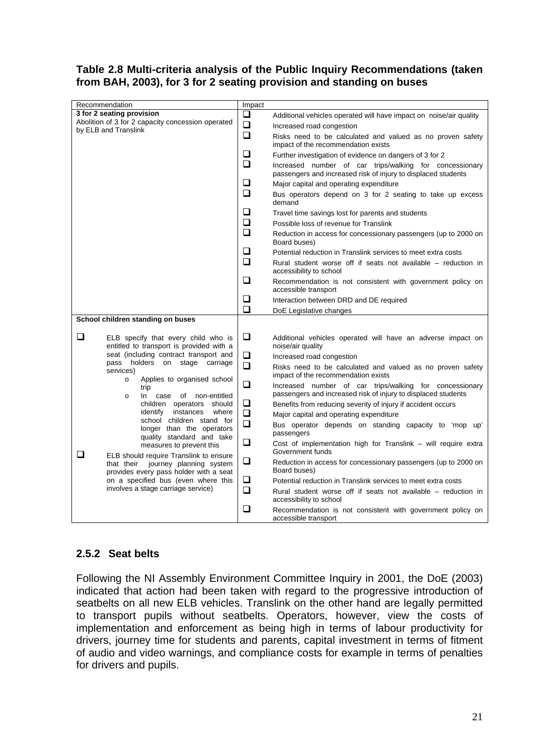#### **Table 2.8 Multi-criteria analysis of the Public Inquiry Recommendations (taken from BAH, 2003), for 3 for 2 seating provision and standing on buses**

| Recommendation                                                                                                            | Impact |                                                                                                                          |
|---------------------------------------------------------------------------------------------------------------------------|--------|--------------------------------------------------------------------------------------------------------------------------|
| 3 for 2 seating provision                                                                                                 |        | Additional vehicles operated will have impact on noise/air quality                                                       |
| Abolition of 3 for 2 capacity concession operated                                                                         |        | Increased road congestion                                                                                                |
| by ELB and Translink                                                                                                      |        | Risks need to be calculated and valued as no proven safety<br>impact of the recommendation exists                        |
|                                                                                                                           | ◻      | Further investigation of evidence on dangers of 3 for 2                                                                  |
|                                                                                                                           | ◻      | Increased number of car trips/walking for concessionary<br>passengers and increased risk of injury to displaced students |
|                                                                                                                           | ❏      | Major capital and operating expenditure                                                                                  |
|                                                                                                                           | ◻      | Bus operators depend on 3 for 2 seating to take up excess<br>demand                                                      |
|                                                                                                                           | ❏      | Travel time savings lost for parents and students                                                                        |
|                                                                                                                           | $\Box$ | Possible loss of revenue for Translink                                                                                   |
|                                                                                                                           | ◻      | Reduction in access for concessionary passengers (up to 2000 on<br>Board buses)                                          |
|                                                                                                                           | ◻      | Potential reduction in Translink services to meet extra costs                                                            |
|                                                                                                                           | $\Box$ | Rural student worse off if seats not available – reduction in<br>accessibility to school                                 |
|                                                                                                                           | ◻      | Recommendation is not consistent with government policy on<br>accessible transport                                       |
|                                                                                                                           | ❏      | Interaction between DRD and DE required                                                                                  |
|                                                                                                                           | $\Box$ | DoE Legislative changes                                                                                                  |
| School children standing on buses                                                                                         |        |                                                                                                                          |
| □<br>ELB specify that every child who is<br>entitled to transport is provided with a                                      | □      | Additional vehicles operated will have an adverse impact on<br>noise/air quality                                         |
| seat (including contract transport and<br>holders on stage carriage<br>pass                                               | ❏      | Increased road congestion                                                                                                |
| services)<br>Applies to organised school<br>$\circ$                                                                       | □      | Risks need to be calculated and valued as no proven safety<br>impact of the recommendation exists                        |
| trip<br>case of non-entitled<br>In.<br>$\Omega$                                                                           | ❏      | Increased number of car trips/walking for concessionary<br>passengers and increased risk of injury to displaced students |
| children operators should                                                                                                 | ❏      | Benefits from reducing severity of injury if accident occurs                                                             |
| identify<br>instances<br>where                                                                                            | ◻      | Major capital and operating expenditure                                                                                  |
| school children stand for<br>longer than the operators<br>quality standard and take                                       | $\Box$ | Bus operator depends on standing capacity to 'mop up'<br>passengers                                                      |
| measures to prevent this<br>◻                                                                                             | ❏      | Cost of implementation high for Translink – will require extra<br>Government funds                                       |
| ELB should require Translink to ensure<br>journey planning system<br>that their<br>provides every pass holder with a seat | ❏      | Reduction in access for concessionary passengers (up to 2000 on<br>Board buses)                                          |
| on a specified bus (even where this                                                                                       | ❏      | Potential reduction in Translink services to meet extra costs                                                            |
| involves a stage carriage service)                                                                                        | ❏      | Rural student worse off if seats not available – reduction in                                                            |
|                                                                                                                           |        | accessibility to school                                                                                                  |
|                                                                                                                           | ❏      | Recommendation is not consistent with government policy on<br>accessible transport                                       |

# **2.5.2 Seat belts**

Following the NI Assembly Environment Committee Inquiry in 2001, the DoE (2003) indicated that action had been taken with regard to the progressive introduction of seatbelts on all new ELB vehicles. Translink on the other hand are legally permitted to transport pupils without seatbelts. Operators, however, view the costs of implementation and enforcement as being high in terms of labour productivity for drivers, journey time for students and parents, capital investment in terms of fitment of audio and video warnings, and compliance costs for example in terms of penalties for drivers and pupils.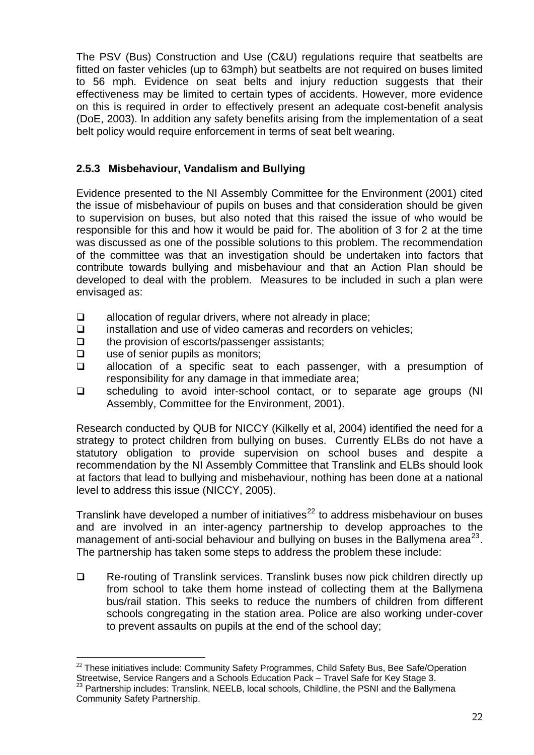<span id="page-16-0"></span>The PSV (Bus) Construction and Use (C&U) regulations require that seatbelts are fitted on faster vehicles (up to 63mph) but seatbelts are not required on buses limited to 56 mph. Evidence on seat belts and injury reduction suggests that their effectiveness may be limited to certain types of accidents. However, more evidence on this is required in order to effectively present an adequate cost-benefit analysis (DoE, 2003). In addition any safety benefits arising from the implementation of a seat belt policy would require enforcement in terms of seat belt wearing.

# **2.5.3 Misbehaviour, Vandalism and Bullying**

Evidence presented to the NI Assembly Committee for the Environment (2001) cited the issue of misbehaviour of pupils on buses and that consideration should be given to supervision on buses, but also noted that this raised the issue of who would be responsible for this and how it would be paid for. The abolition of 3 for 2 at the time was discussed as one of the possible solutions to this problem. The recommendation of the committee was that an investigation should be undertaken into factors that contribute towards bullying and misbehaviour and that an Action Plan should be developed to deal with the problem. Measures to be included in such a plan were envisaged as:

- $\Box$  allocation of regular drivers, where not already in place;
- $\Box$  installation and use of video cameras and recorders on vehicles;
- $\Box$  the provision of escorts/passenger assistants:
- $\Box$  use of senior pupils as monitors;
- $\square$  allocation of a specific seat to each passenger, with a presumption of responsibility for any damage in that immediate area;
- □ scheduling to avoid inter-school contact, or to separate age groups (NI Assembly, Committee for the Environment, 2001).

Research conducted by QUB for NICCY (Kilkelly et al, 2004) identified the need for a strategy to protect children from bullying on buses. Currently ELBs do not have a statutory obligation to provide supervision on school buses and despite a recommendation by the NI Assembly Committee that Translink and ELBs should look at factors that lead to bullying and misbehaviour, nothing has been done at a national level to address this issue (NICCY, 2005).

Translink have developed a number of initiatives<sup>[22](#page-16-0)</sup> to address misbehaviour on buses and are involved in an inter-agency partnership to develop approaches to the management of anti-social behaviour and bullying on buses in the Ballymena area<sup>[23](#page-16-0)</sup>. The partnership has taken some steps to address the problem these include:

□ Re-routing of Translink services. Translink buses now pick children directly up from school to take them home instead of collecting them at the Ballymena bus/rail station. This seeks to reduce the numbers of children from different schools congregating in the station area. Police are also working under-cover to prevent assaults on pupils at the end of the school day;

<sup>1</sup>  $22$  These initiatives include: Community Safety Programmes, Child Safety Bus, Bee Safe/Operation Streetwise, Service Rangers and a Schools Education Pack – Travel Safe for Key Stage 3.  $^{23}$  Partnership includes: Translink, NEELB, local schools, Childline, the PSNI and the Ballymena

Community Safety Partnership.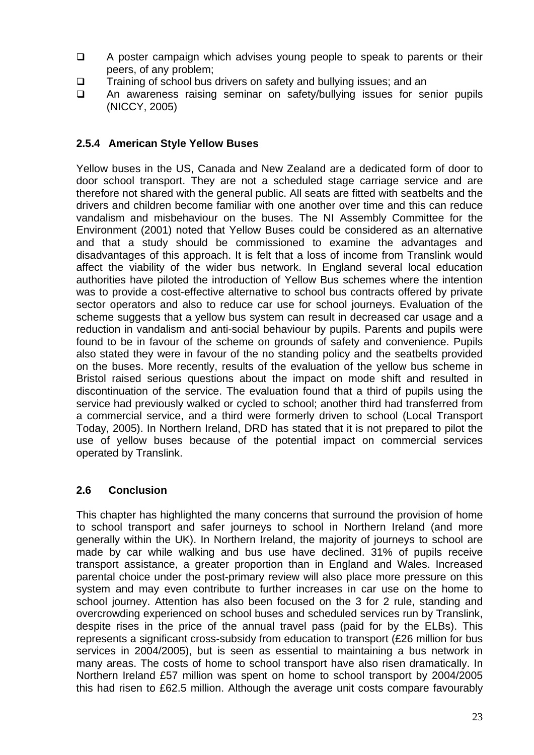- $\Box$  A poster campaign which advises young people to speak to parents or their peers, of any problem;
- $\Box$  Training of school bus drivers on safety and bullying issues; and an
- □ An awareness raising seminar on safety/bullying issues for senior pupils (NICCY, 2005)

#### **2.5.4 American Style Yellow Buses**

Yellow buses in the US, Canada and New Zealand are a dedicated form of door to door school transport. They are not a scheduled stage carriage service and are therefore not shared with the general public. All seats are fitted with seatbelts and the drivers and children become familiar with one another over time and this can reduce vandalism and misbehaviour on the buses. The NI Assembly Committee for the Environment (2001) noted that Yellow Buses could be considered as an alternative and that a study should be commissioned to examine the advantages and disadvantages of this approach. It is felt that a loss of income from Translink would affect the viability of the wider bus network. In England several local education authorities have piloted the introduction of Yellow Bus schemes where the intention was to provide a cost-effective alternative to school bus contracts offered by private sector operators and also to reduce car use for school journeys. Evaluation of the scheme suggests that a yellow bus system can result in decreased car usage and a reduction in vandalism and anti-social behaviour by pupils. Parents and pupils were found to be in favour of the scheme on grounds of safety and convenience. Pupils also stated they were in favour of the no standing policy and the seatbelts provided on the buses. More recently, results of the evaluation of the yellow bus scheme in Bristol raised serious questions about the impact on mode shift and resulted in discontinuation of the service. The evaluation found that a third of pupils using the service had previously walked or cycled to school; another third had transferred from a commercial service, and a third were formerly driven to school (Local Transport Today, 2005). In Northern Ireland, DRD has stated that it is not prepared to pilot the use of yellow buses because of the potential impact on commercial services operated by Translink.

# **2.6 Conclusion**

This chapter has highlighted the many concerns that surround the provision of home to school transport and safer journeys to school in Northern Ireland (and more generally within the UK). In Northern Ireland, the majority of journeys to school are made by car while walking and bus use have declined. 31% of pupils receive transport assistance, a greater proportion than in England and Wales. Increased parental choice under the post-primary review will also place more pressure on this system and may even contribute to further increases in car use on the home to school journey. Attention has also been focused on the 3 for 2 rule, standing and overcrowding experienced on school buses and scheduled services run by Translink, despite rises in the price of the annual travel pass (paid for by the ELBs). This represents a significant cross-subsidy from education to transport (£26 million for bus services in 2004/2005), but is seen as essential to maintaining a bus network in many areas. The costs of home to school transport have also risen dramatically. In Northern Ireland £57 million was spent on home to school transport by 2004/2005 this had risen to £62.5 million. Although the average unit costs compare favourably